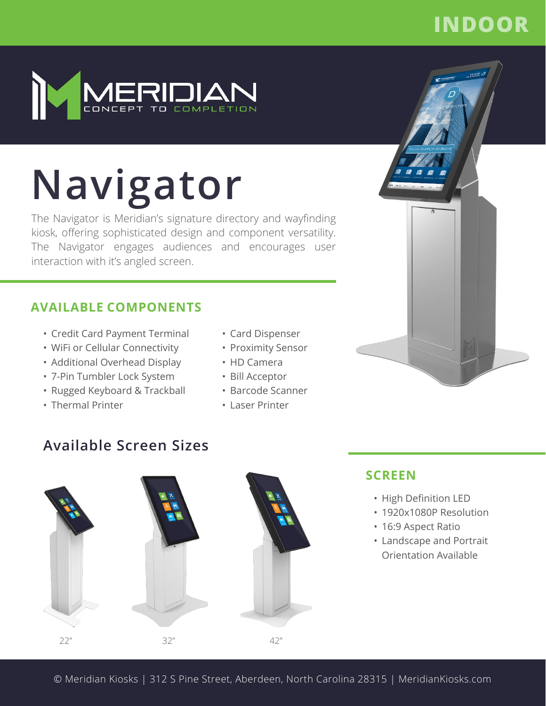# **INDOOR**



# **Navigator**

The Navigator is Meridian's signature directory and wayfinding kiosk, offering sophisticated design and component versatility. The Navigator engages audiences and encourages user interaction with it's angled screen.

#### **AVAILABLE COMPONENTS**

- Credit Card Payment Terminal
- WiFi or Cellular Connectivity
- Additional Overhead Display
- 7-Pin Tumbler Lock System
- Rugged Keyboard & Trackball
- Thermal Printer
- Card Dispenser
- Proximity Sensor
- HD Camera
- Bill Acceptor
- Barcode Scanner
- Laser Printer

### **Available Screen Sizes**



#### **SCREEN**

- High Definition LED
- 1920x1080P Resolution
- 16:9 Aspect Ratio
- Landscape and Portrait Orientation Available